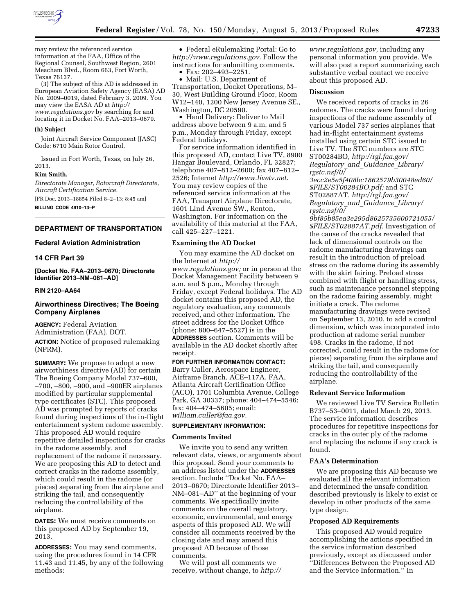

may review the referenced service information at the FAA, Office of the Regional Counsel, Southwest Region, 2601 Meacham Blvd., Room 663, Fort Worth, Texas 76137.

(3) The subject of this AD is addressed in European Aviation Safety Agency (EASA) AD No. 2009–0019, dated February 3, 2009. You may view the EASA AD at *[http://](http://www.regulations.gov)  [www.regulations.gov](http://www.regulations.gov)* by searching for and locating it in Docket No. FAA–2013–0679.

## **(h) Subject**

Joint Aircraft Service Component (JASC) Code: 6710 Main Rotor Control.

Issued in Fort Worth, Texas, on July 26, 2013.

### **Kim Smith,**

*Directorate Manager, Rotorcraft Directorate, Aircraft Certification Service.*  [FR Doc. 2013–18854 Filed 8–2–13; 8:45 am] **BILLING CODE 4910–13–P** 

## **DEPARTMENT OF TRANSPORTATION**

## **Federal Aviation Administration**

### **14 CFR Part 39**

**[Docket No. FAA–2013–0670; Directorate Identifier 2013–NM–081–AD]** 

## **RIN 2120–AA64**

## **Airworthiness Directives; The Boeing Company Airplanes**

**AGENCY:** Federal Aviation Administration (FAA), DOT. **ACTION:** Notice of proposed rulemaking (NPRM).

**SUMMARY:** We propose to adopt a new airworthiness directive (AD) for certain The Boeing Company Model 737–600, –700, –800, –900, and –900ER airplanes modified by particular supplemental type certificates (STC). This proposed AD was prompted by reports of cracks found during inspections of the in-flight entertainment system radome assembly. This proposed AD would require repetitive detailed inspections for cracks in the radome assembly, and replacement of the radome if necessary. We are proposing this AD to detect and correct cracks in the radome assembly, which could result in the radome (or pieces) separating from the airplane and striking the tail, and consequently reducing the controllability of the airplane.

**DATES:** We must receive comments on this proposed AD by September 19, 2013.

**ADDRESSES:** You may send comments, using the procedures found in 14 CFR 11.43 and 11.45, by any of the following methods:

• Federal eRulemaking Portal: Go to *[http://www.regulations.gov.](http://www.regulations.gov)* Follow the instructions for submitting comments. • Fax: 202–493–2251.

• Mail: U.S. Department of Transportation, Docket Operations, M– 30, West Building Ground Floor, Room W12–140, 1200 New Jersey Avenue SE., Washington, DC 20590.

• Hand Delivery: Deliver to Mail address above between 9 a.m. and 5 p.m., Monday through Friday, except Federal holidays.

For service information identified in this proposed AD, contact Live TV, 8900 Hangar Boulevard, Orlando, FL 32827; telephone 407–812–2600; fax 407–812– 2526; Internet *[http://www.livetv.net.](http://www.livetv.net)*  You may review copies of the referenced service information at the FAA, Transport Airplane Directorate, 1601 Lind Avenue SW., Renton, Washington. For information on the availability of this material at the FAA, call 425–227–1221.

## **Examining the AD Docket**

You may examine the AD docket on the Internet at *[http://](http://www.regulations.gov)  [www.regulations.gov;](http://www.regulations.gov)* or in person at the Docket Management Facility between 9 a.m. and 5 p.m., Monday through Friday, except Federal holidays. The AD docket contains this proposed AD, the regulatory evaluation, any comments received, and other information. The street address for the Docket Office (phone: 800–647–5527) is in the **ADDRESSES** section. Comments will be available in the AD docket shortly after receipt.

### **FOR FURTHER INFORMATION CONTACT:**

Barry Culler, Aerospace Engineer, Airframe Branch, ACE–117A, FAA, Atlanta Aircraft Certification Office (ACO), 1701 Columbia Avenue, College Park, GA 30337; phone: 404–474–5546; fax: 404–474–5605; email: *[william.culler@faa.gov.](mailto:william.culler@faa.gov)* 

## **SUPPLEMENTARY INFORMATION:**

## **Comments Invited**

We invite you to send any written relevant data, views, or arguments about this proposal. Send your comments to an address listed under the **ADDRESSES** section. Include ''Docket No. FAA– 2013–0670; Directorate Identifier 2013– NM–081–AD'' at the beginning of your comments. We specifically invite comments on the overall regulatory, economic, environmental, and energy aspects of this proposed AD. We will consider all comments received by the closing date and may amend this proposed AD because of those comments.

We will post all comments we receive, without change, to *[http://](http://www.regulations.gov)* 

*[www.regulations.gov,](http://www.regulations.gov)* including any personal information you provide. We will also post a report summarizing each substantive verbal contact we receive about this proposed AD.

## **Discussion**

We received reports of cracks in 26 radomes. The cracks were found during inspections of the radome assembly of various Model 737 series airplanes that had in-flight entertainment systems installed using certain STC issued to Live TV. The STC numbers are STC ST00284BO, *[http://rgl.faa.gov/](http://rgl.faa.gov/Regulatory_and_Guidance_Library/rgstc.nsf/0/3ecc2e5e5f408bc1862579b30048ed60/$FILE/ST00284BO.pdf)  [Regulatory](http://rgl.faa.gov/Regulatory_and_Guidance_Library/rgstc.nsf/0/3ecc2e5e5f408bc1862579b30048ed60/$FILE/ST00284BO.pdf)*\_*and*\_*Guidance*\_*Library/ [rgstc.nsf/0/](http://rgl.faa.gov/Regulatory_and_Guidance_Library/rgstc.nsf/0/3ecc2e5e5f408bc1862579b30048ed60/$FILE/ST00284BO.pdf)* 

*[3ecc2e5e5f408bc1862579b30048ed60/](http://rgl.faa.gov/Regulatory_and_Guidance_Library/rgstc.nsf/0/3ecc2e5e5f408bc1862579b30048ed60/$FILE/ST00284BO.pdf)  [\\$FILE/ST00284BO.pdf;](http://rgl.faa.gov/Regulatory_and_Guidance_Library/rgstc.nsf/0/3ecc2e5e5f408bc1862579b30048ed60/$FILE/ST00284BO.pdf)* and STC ST02887AT, *[http://rgl.faa.gov/](http://rgl.faa.gov/Regulatory_and_Guidance_Library/rgstc.nsf/0/9bf85b85ea3e295d8625735600721055/$FILE/ST02887AT.pdf)  [Regulatory](http://rgl.faa.gov/Regulatory_and_Guidance_Library/rgstc.nsf/0/9bf85b85ea3e295d8625735600721055/$FILE/ST02887AT.pdf)*\_*and*\_*Guidance*\_*Library/ [rgstc.nsf/0/](http://rgl.faa.gov/Regulatory_and_Guidance_Library/rgstc.nsf/0/9bf85b85ea3e295d8625735600721055/$FILE/ST02887AT.pdf)* 

*[9bf85b85ea3e295d8625735600721055/](http://rgl.faa.gov/Regulatory_and_Guidance_Library/rgstc.nsf/0/9bf85b85ea3e295d8625735600721055/$FILE/ST02887AT.pdf) [\\$FILE/ST02887AT.pdf.](http://rgl.faa.gov/Regulatory_and_Guidance_Library/rgstc.nsf/0/9bf85b85ea3e295d8625735600721055/$FILE/ST02887AT.pdf)* Investigation of the cause of the cracks revealed that lack of dimensional controls on the radome manufacturing drawings can result in the introduction of preload stress on the radome during its assembly with the skirt fairing. Preload stress combined with flight or handling stress, such as maintenance personnel stepping on the radome fairing assembly, might initiate a crack. The radome manufacturing drawings were revised on September 13, 2010, to add a control dimension, which was incorporated into production at radome serial number 498. Cracks in the radome, if not corrected, could result in the radome (or pieces) separating from the airplane and striking the tail, and consequently reducing the controllability of the airplane.

## **Relevant Service Information**

We reviewed Live TV Service Bulletin B737–53–0011*,* dated March 29, 2013. The service information describes procedures for repetitive inspections for cracks in the outer ply of the radome and replacing the radome if any crack is found.

# **FAA's Determination**

We are proposing this AD because we evaluated all the relevant information and determined the unsafe condition described previously is likely to exist or develop in other products of the same type design.

## **Proposed AD Requirements**

This proposed AD would require accomplishing the actions specified in the service information described previously, except as discussed under ''Differences Between the Proposed AD and the Service Information.'' In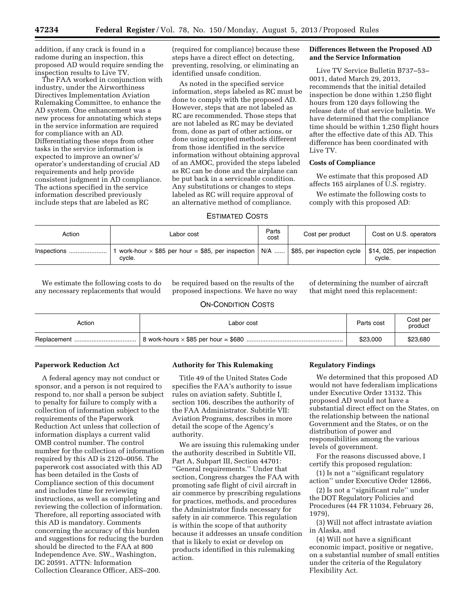addition, if any crack is found in a radome during an inspection, this proposed AD would require sending the inspection results to Live TV.

The FAA worked in conjunction with industry, under the Airworthiness Directives Implementation Aviation Rulemaking Committee, to enhance the AD system. One enhancement was a new process for annotating which steps in the service information are required for compliance with an AD. Differentiating these steps from other tasks in the service information is expected to improve an owner's/ operator's understanding of crucial AD requirements and help provide consistent judgment in AD compliance. The actions specified in the service information described previously include steps that are labeled as RC

(required for compliance) because these steps have a direct effect on detecting, preventing, resolving, or eliminating an identified unsafe condition.

As noted in the specified service information, steps labeled as RC must be done to comply with the proposed AD. However, steps that are not labeled as RC are recommended. Those steps that are not labeled as RC may be deviated from, done as part of other actions, or done using accepted methods different from those identified in the service information without obtaining approval of an AMOC, provided the steps labeled as RC can be done and the airplane can be put back in a serviceable condition. Any substitutions or changes to steps labeled as RC will require approval of an alternative method of compliance.

## **Differences Between the Proposed AD and the Service Information**

Live TV Service Bulletin B737–53– 0011, dated March 29, 2013, recommends that the initial detailed inspection be done within 1,250 flight hours from 120 days following the release date of that service bulletin. We have determined that the compliance time should be within 1,250 flight hours after the effective date of this AD. This difference has been coordinated with Live TV.

# **Costs of Compliance**

We estimate that this proposed AD affects 165 airplanes of U.S. registry.

We estimate the following costs to comply with this proposed AD:

# ESTIMATED COSTS

| Action      | Labor cost                                                                                              | Parts<br>cost | Cost per product | Cost on U.S. operators              |
|-------------|---------------------------------------------------------------------------------------------------------|---------------|------------------|-------------------------------------|
| Inspections | work-hour $\times$ \$85 per hour = \$85, per inspection   N/A    \$85, per inspection cycle  <br>cvcle. |               |                  | \$14, 025, per inspection<br>cvcle. |

We estimate the following costs to do any necessary replacements that would

be required based on the results of the proposed inspections. We have no way of determining the number of aircraft that might need this replacement:

# ON-CONDITION COSTS

| Action | Labor cost | Parts cost | Cost per<br>product |
|--------|------------|------------|---------------------|
|        |            | \$23,000   | \$23,680            |

## **Paperwork Reduction Act**

A federal agency may not conduct or sponsor, and a person is not required to respond to, nor shall a person be subject to penalty for failure to comply with a collection of information subject to the requirements of the Paperwork Reduction Act unless that collection of information displays a current valid OMB control number. The control number for the collection of information required by this AD is 2120–0056. The paperwork cost associated with this AD has been detailed in the Costs of Compliance section of this document and includes time for reviewing instructions, as well as completing and reviewing the collection of information. Therefore, all reporting associated with this AD is mandatory. Comments concerning the accuracy of this burden and suggestions for reducing the burden should be directed to the FAA at 800 Independence Ave. SW., Washington, DC 20591. ATTN: Information Collection Clearance Officer, AES–200.

### **Authority for This Rulemaking**

Title 49 of the United States Code specifies the FAA's authority to issue rules on aviation safety. Subtitle I, section 106, describes the authority of the FAA Administrator. Subtitle VII: Aviation Programs, describes in more detail the scope of the Agency's authority.

We are issuing this rulemaking under the authority described in Subtitle VII, Part A, Subpart III, Section 44701: ''General requirements.'' Under that section, Congress charges the FAA with promoting safe flight of civil aircraft in air commerce by prescribing regulations for practices, methods, and procedures the Administrator finds necessary for safety in air commerce. This regulation is within the scope of that authority because it addresses an unsafe condition that is likely to exist or develop on products identified in this rulemaking action.

## **Regulatory Findings**

We determined that this proposed AD would not have federalism implications under Executive Order 13132. This proposed AD would not have a substantial direct effect on the States, on the relationship between the national Government and the States, or on the distribution of power and responsibilities among the various levels of government.

For the reasons discussed above, I certify this proposed regulation:

(1) Is not a ''significant regulatory action'' under Executive Order 12866,

(2) Is not a ''significant rule'' under the DOT Regulatory Policies and Procedures (44 FR 11034, February 26, 1979),

(3) Will not affect intrastate aviation in Alaska, and

(4) Will not have a significant economic impact, positive or negative, on a substantial number of small entities under the criteria of the Regulatory Flexibility Act.